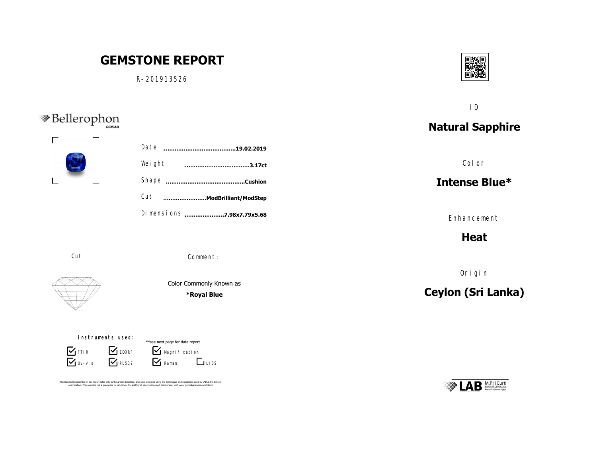## ID **Photos Games** Geman Geman **Natural Sapphire**  $R^2$ S-3403A.jpgS-3403A.jpg Date **……………………………………………………………….19.02.2019** S-3403A.jpgS-3403A.jpg Color S-3403A.jpg Weight**…………………………………………………………………………….3.17ct** S-3403A.jpgS-3403A.jpg S-3403A.jpgS-3403A.jpg S-3403A.jpgS-3403A.jpg **Intense Blue\* ……………………………………..Cushion** Shape Cut**………………………….ModBrilliant/ModStep** Dimensions .......................**7.98x7.79x5.68** Enhancement **Heat** Cut Comment: Origin Color Commonly Known as **Ceylon (Sri Lanka) \*Royal Blue** Picture 35 Instruments used: \*\*see next page for data report **S** FTIR **S** EDXRF  $\mathbf{V}$  Magni fication  $\nabla$  Uv-vis  $\nabla$  PL532  $\overline{\mathbf{y}}$  Raman **LIBS M.P.H Curti** The Results Documented in this report refer only to the article described, and were obtained using the techniques and equipment used by LAB at the time of<br>examination. This report is not a quarantee or valutation. for addi

同聚值

Пi

**GEMSTONE REPORT**

R-201913526